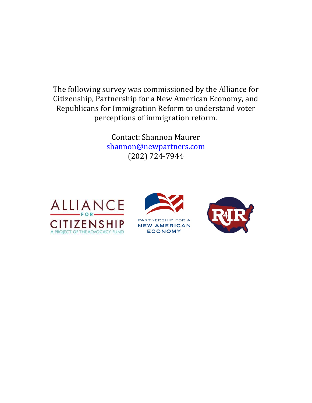The following survey was commissioned by the Alliance for Citizenship, Partnership for a New American Economy, and Republicans for Immigration Reform to understand voter perceptions of immigration reform.

> Contact: Shannon Maurer shannon@newpartners.com (202) 724-7944





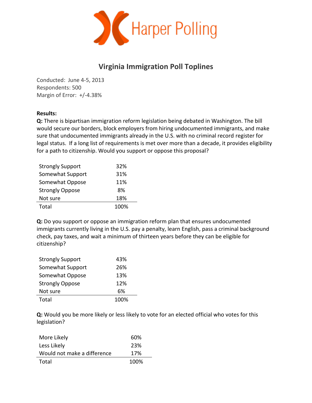

## **Virginia Immigration Poll Toplines**

Conducted: June 4-5, 2013 Respondents: 500 Margin of Error: +/-4.38%

## **Results:**

**Q:** There is bipartisan immigration reform legislation being debated in Washington. The bill would secure our borders, block employers from hiring undocumented immigrants, and make sure that undocumented immigrants already in the U.S. with no criminal record register for legal status. If a long list of requirements is met over more than a decade, it provides eligibility for a path to citizenship. Would you support or oppose this proposal?

| <b>Strongly Support</b> | 32%  |
|-------------------------|------|
| Somewhat Support        | 31%  |
| Somewhat Oppose         | 11%  |
| <b>Strongly Oppose</b>  | 8%   |
| Not sure                | 18%  |
| Total                   | 100% |

**Q:** Do you support or oppose an immigration reform plan that ensures undocumented immigrants currently living in the U.S. pay a penalty, learn English, pass a criminal background check, pay taxes, and wait a minimum of thirteen years before they can be eligible for citizenship?

| <b>Strongly Support</b> | 43%  |
|-------------------------|------|
| Somewhat Support        | 26%  |
| Somewhat Oppose         | 13%  |
| <b>Strongly Oppose</b>  | 12%  |
| Not sure                | 6%   |
| Total                   | 100% |

**Q:** Would you be more likely or less likely to vote for an elected official who votes for this legislation?

| More Likely                 | 60%  |
|-----------------------------|------|
| Less Likely                 | 23%  |
| Would not make a difference | 17%  |
| Total                       | 100% |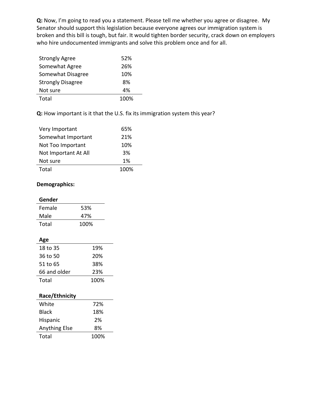**Q:** Now, I'm going to read you a statement. Please tell me whether you agree or disagree. My Senator should support this legislation because everyone agrees our immigration system is broken and this bill is tough, but fair. It would tighten border security, crack down on employers who hire undocumented immigrants and solve this problem once and for all.

| <b>Strongly Agree</b>    | 52%  |
|--------------------------|------|
| Somewhat Agree           | 26%  |
| Somewhat Disagree        | 10%  |
| <b>Strongly Disagree</b> | 8%   |
| Not sure                 | 4%   |
| Total                    | 100% |

**Q:** How important is it that the U.S. fix its immigration system this year?

| Very Important       | 65%  |
|----------------------|------|
| Somewhat Important   | 21%  |
| Not Too Important    | 10%  |
| Not Important At All | 3%   |
| Not sure             | 1%   |
| Total                | 100% |

## **Demographics:**

| Gender                |      |  |
|-----------------------|------|--|
| Female                | 53%  |  |
| Male                  | 47%  |  |
| Total                 | 100% |  |
|                       |      |  |
| Age                   |      |  |
| 18 to 35              | 19%  |  |
| 36 to 50              | 20%  |  |
| 51 to 65              | 38%  |  |
| 66 and older          | 23%  |  |
| Total                 | 100% |  |
|                       |      |  |
| <b>Race/Ethnicity</b> |      |  |
| White                 | 72%  |  |
| Black                 | 18%  |  |
| Hispanic              | 2%   |  |
|                       |      |  |

| Anything Else | 8%   |
|---------------|------|
| Total         | 100% |